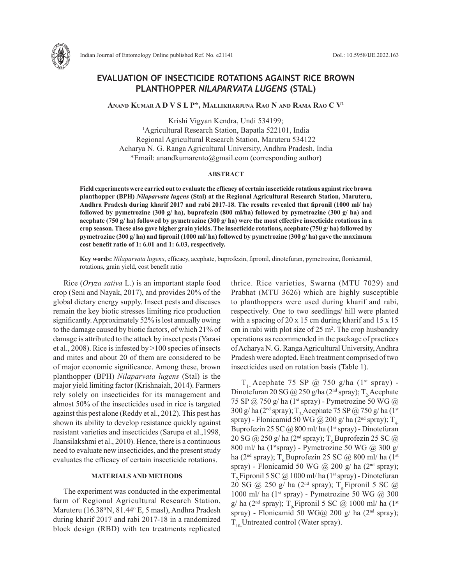

# **EVALUATION OF INSECTICIDE ROTATIONS AGAINST RICE BROWN PLANTHOPPER** *NILAPARVATA LUGENS* **(STAL)**

**Anand Kumar A D V S L P\*, Mallikharjuna Rao N and Rama Rao C V1**

Krishi Vigyan Kendra, Undi 534199; 1 <sup>1</sup>Agricultural Research Station, Bapatla 522101, India Regional Agricultural Research Station, Maruteru 534122 Acharya N. G. Ranga Agricultural University, Andhra Pradesh, India \*Email: anandkumarento@gmail.com (corresponding author)

### **ABSTRACT**

**Field experiments were carried out to evaluate the efficacy of certain insecticide rotations against rice brown planthopper (BPH)** *Nilaparvata lugens* **(Stal) at the Regional Agricultural Research Station, Maruteru, Andhra Pradesh during kharif 2017 and rabi 2017-18. The results revealed that fipronil (1000 ml/ ha) followed by pymetrozine (300 g/ ha), buprofezin (800 ml/ha) followed by pymetrozine (300 g/ ha) and acephate (750 g/ ha) followed by pymetrozine (300 g/ ha) were the most effective insecticide rotations in a crop season. These also gave higher grain yields. The insecticide rotations, acephate (750 g/ ha) followed by pymetrozine (300 g/ ha) and fipronil (1000 ml/ ha) followed by pymetrozine (300 g/ ha) gave the maximum cost benefit ratio of 1: 6.01 and 1: 6.03, respectively.** 

**Key words:** *Nilaparvata lugens*, efficacy, acephate, buprofezin, fipronil, dinotefuran, pymetrozine, flonicamid, rotations, grain yield, cost benefit ratio

Rice (*Oryza sativa* L.) is an important staple food crop (Seni and Nayak, 2017), and provides 20% of the global dietary energy supply. Insect pests and diseases remain the key biotic stresses limiting rice production significantly. Approximately 52% is lost annually owing to the damage caused by biotic factors, of which 21% of damage is attributed to the attack by insect pests (Yarasi et al., 2008). Rice is infested by >100 species of insects and mites and about 20 of them are considered to be of major economic significance. Among these, brown planthopper (BPH) *Nilaparvata lugens* (Stal) is the major yield limiting factor (Krishnaiah, 2014). Farmers rely solely on insecticides for its management and almost 50% of the insecticides used in rice is targeted against this pest alone (Reddy et al., 2012). This pest has shown its ability to develop resistance quickly against resistant varieties and insecticides (Sarupa et al.,1998, Jhansilakshmi et al., 2010). Hence, there is a continuous need to evaluate new insecticides, and the present study evaluates the efficacy of certain insecticide rotations.

## **MATERIALS AND METHODS**

The experiment was conducted in the experimental farm of Regional Agricultural Research Station, Maruteru (16.38º N, 81.44º E, 5 masl), Andhra Pradesh during kharif 2017 and rabi 2017-18 in a randomized block design (RBD) with ten treatments replicated

thrice. Rice varieties, Swarna (MTU 7029) and Prabhat (MTU 3626) which are highly susceptible to planthoppers were used during kharif and rabi, respectively. One to two seedlings/ hill were planted with a spacing of 20 x 15 cm during kharif and 15 x 15 cm in rabi with plot size of  $25 \text{ m}^2$ . The crop husbandry operations as recommended in the package of practices of Acharya N. G. Ranga Agricultural University, Andhra Pradesh were adopted. Each treatment comprised of two insecticides used on rotation basis (Table 1).

 $T<sub>1</sub>$  Acephate 75 SP @ 750 g/ha (1<sup>st</sup> spray) -Dinotefuran 20 SG @ 250 g/ha ( $2<sup>nd</sup>$  spray); T<sub>2</sub>Acephate 75 SP @ 750 g/ ha ( $1<sup>st</sup>$  spray) - Pymetrozine 50 WG @ 300 g/ ha (2<sup>nd</sup> spray); T<sub>3</sub>-Acephate 75 SP @ 750 g/ ha (1<sup>st</sup>) spray) - Flonicamid 50 WG @ 200 g/ ha (2<sup>nd</sup> spray);  $T_{4}$ Buprofezin 25 SC @ 800 ml/ ha (1<sup>st</sup> spray) - Dinotefuran 20 SG @ 250 g/ ha (2<sup>nd</sup> spray);  $T_5$  Buprofezin 25 SC @ 800 ml/ ha (1<sup>st</sup>spray) - Pymetrozine 50 WG  $(a)$  300 g/ ha (2<sup>nd</sup> spray); T<sub>6</sub>Buprofezin 25 SC @ 800 ml/ ha (1<sup>st</sup>) spray) - Flonicamid 50 WG @ 200 g/ ha ( $2<sup>nd</sup>$  spray); T<sub>r</sub> Fipronil 5 SC  $@$  1000 ml/ha (1<sup>st</sup> spray) - Dinotefuran 20 SG @ 250 g/ ha (2<sup>nd</sup> spray); T<sub>s</sub>Fipronil 5 SC @ 1000 ml/ ha  $(1^{st}$  spray) - Pymetrozine 50 WG  $@$  300 g/ ha (2<sup>nd</sup> spray); T<sub>o</sub>Fipronil 5 SC @ 1000 ml/ ha (1<sup>st</sup>) spray) - Flonicamid 50 WG@ 200 g/ ha ( $2<sup>nd</sup>$  spray);  $T_{10}$ Untreated control (Water spray).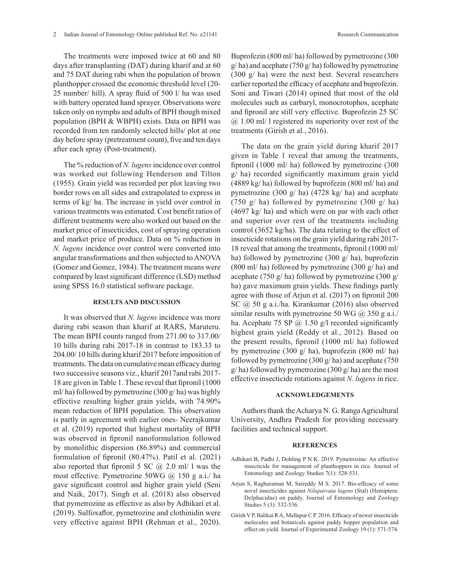The treatments were imposed twice at 60 and 80 days after transplanting (DAT) during kharif and at 60 and 75 DAT during rabi when the population of brown planthopper crossed the economic threshold level (20- 25 number/ hill). A spray fluid of 500 l/ ha was used with battery operated hand sprayer. Observations were taken only on nymphs and adults of BPH though mixed population (BPH & WBPH) exists. Data on BPH was recorded from ten randomly selected hills/ plot at one day before spray (pretreatment count), five and ten days after each spray (Post-treatment).

The % reduction of *N. lugens* incidence over control was worked out following Henderson and Tilton (1955). Grain yield was recorded per plot leaving two border rows on all sides and extrapolated to express in terms of kg/ ha. The increase in yield over control in various treatments was estimated. Cost benefit ratios of different treatments were also worked out based on the market price of insecticides, cost of spraying operation and market price of produce. Data on % reduction in *N. lugens* incidence over control were converted into angular transformations and then subjected to ANOVA (Gomez and Gomez, 1984). The treatment means were compared by least significant difference (LSD) method using SPSS 16.0 statistical software package.

#### **RESULTS AND DISCUSSION**

It was observed that *N. lugens* incidence was more during rabi season than kharif at RARS, Maruteru. The mean BPH counts ranged from 271.00 to 317.00/ 10 hills during rabi 2017-18 in contrast to 183.33 to 204.00/ 10 hills during kharif 2017 before imposition of treatments. The data on cumulative mean efficacy during two successive seasons viz., kharif 2017and rabi 2017- 18 are given in Table 1. These reveal that fipronil (1000 ml/ ha) followed by pymetrozine (300 g/ ha) was highly effective resulting higher grain yields, with 74.90% mean reduction of BPH population. This observation is partly in agreement with earlier ones- Neerajkumar et al. (2019) reported that highest mortality of BPH was observed in fipronil nanoformulation followed by monolithic dispersion (86.89%) and commercial formulation of fipronil (80.47%). Patil et al. (2021) also reported that fipronil 5 SC  $\omega$  2.0 ml/ l was the most effective. Pymetrozine 50WG @ 150 g a.i./ ha gave significant control and higher grain yield (Seni and Naik, 2017). Singh et al. (2018) also observed that pymetrozine as effective as also by Adhikari et al. (2019). Sulfoxaflor, pymetrozine and clothinidin were very effective against BPH (Rehman et al., 2020).

Buprofezin (800 ml/ ha) followed by pymetrozine (300  $g/$ ha) and acephate (750 g/ha) followed by pymetrozine (300 g/ ha) were the next best. Several researchers earlier reported the efficacy of acephate and buprofezin. Soni and Tiwari (2014) opined that most of the old molecules such as carbaryl, monocrotophos, acephate and fipronil are still very effective. Buprofezin 25 SC  $(a)$  1.00 ml/ l registered its superiority over rest of the treatments (Girish et al., 2016).

The data on the grain yield during kharif 2017 given in Table 1 reveal that among the treatments, fipronil (1000 ml/ ha) followed by pymetrozine (300 g/ ha) recorded significantly maximum grain yield (4889 kg/ ha) followed by buprofezin (800 ml/ ha) and pymetrozine (300 g/ ha) (4728 kg/ ha) and acephate (750 g/ ha) followed by pymetrozine (300 g/ ha) (4697 kg/ ha) and which were on par with each other and superior over rest of the treatments including control (3652 kg/ha). The data relating to the effect of insecticide rotations on the grain yield during rabi 2017- 18 reveal that among the treatments, fipronil (1000 ml/ ha) followed by pymetrozine (300 g/ ha), buprofezin (800 ml/ ha) followed by pymetrozine (300 g/ ha) and acephate (750 g/ ha) followed by pymetrozine (300 g/ ha) gave maximum grain yields. These findings partly agree with those of Arjun et al. (2017) on fipronil 200 SC @ 50 g a.i./ha. Kirankumar (2016) also observed similar results with pymetrozine 50 WG  $(a)$  350 g a.i./ ha. Acephate 75 SP  $\omega$  1.50 g/l recorded significantly highest grain yield (Reddy et al., 2012). Based on the present results, fipronil (1000 ml/ ha) followed by pymetrozine (300 g/ ha), buprofezin (800 ml/ ha) followed by pymetrozine (300 g/ ha) and acephate (750  $g/$  ha) followed by pymetrozine (300  $g/$  ha) are the most effective insecticide rotations against *N. lugens* in rice.

#### **ACKNOWLEDGEMENTS**

Authors thank the Acharya N. G. Ranga Agricultural University, Andhra Pradesh for providing necessary facilities and technical support.

#### **REFERENCES**

- Adhikari B, Padhi J, Dohling P N K. 2019. Pymetrozine: An effective insecticide for management of planthoppers in rice. Journal of Entomology and Zoology Studies 7(1): 528-531.
- Arjun S, Raghuraman M, Saireddy M S. 2017. Bio-efficacy of some novel insecticides against *Nilaparvata lugens* (Stal) (Hemiptera: Delphacidae) on paddy. Journal of Entomology and Zoology Studies 5 (3): 532-536.
- Girish V P, Balikai R A, Mallapur C P. 2016. Efficacy of newer insecticide molecules and botanicals against paddy hopper population and effect on yield. Journal of Experimental Zoology 19 (1): 571-574.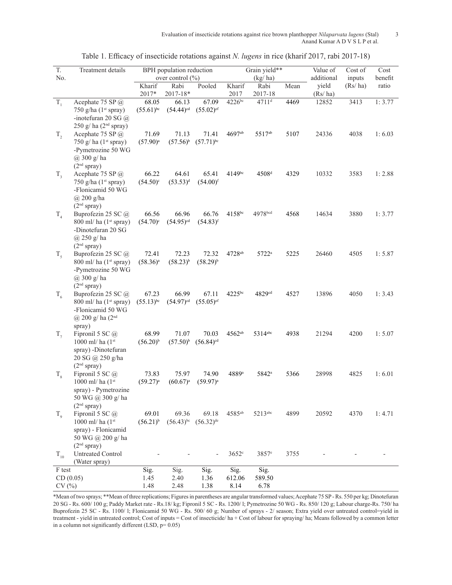Evaluation of insecticide rotations against rice brown planthopper *Nilaparvata lugens* (Stal) 3 Anand Kumar A D V S L P et al.

| $\overline{T}$ .                               | Treatment details                                | BPH population reduction         |                                         |                                  | Grain yield**        |                     |            | Value of         | Cost of | Cost    |
|------------------------------------------------|--------------------------------------------------|----------------------------------|-----------------------------------------|----------------------------------|----------------------|---------------------|------------|------------------|---------|---------|
| No.                                            |                                                  |                                  | over control $\left(\frac{0}{0}\right)$ |                                  | (kg/ha)              |                     | additional | inputs           | benefit |         |
|                                                |                                                  | Kharif<br>2017*                  | Rabi<br>$2017 - 18*$                    | Pooled                           | Kharif<br>2017       | Rabi<br>2017-18     | Mean       | yield<br>(Rs/ha) | (Rs/ha) | ratio   |
| $T_{1}$                                        | Acephate 75 SP @                                 | 68.05                            | 66.13                                   | 67.09                            | $4226$ bc            | $4711$ <sup>d</sup> | 4469       | 12852            | 3413    | 1:3.77  |
|                                                | 750 g/ha $(1st$ spray)                           | $(55.61)$ <sup>bc</sup>          | $(54.44)$ <sup>cd</sup>                 | $(55.02)$ <sup>ef</sup>          |                      |                     |            |                  |         |         |
|                                                | -inotefuran 20 SG $(a)$                          |                                  |                                         |                                  |                      |                     |            |                  |         |         |
|                                                | 250 g/ ha $(2nd$ spray)                          |                                  |                                         |                                  |                      |                     |            |                  |         |         |
| $T_{2}$                                        | Acephate 75 SP @                                 | 71.69                            | 71.13                                   | 71.41                            | 4697ab               | 5517ab              | 5107       | 24336            | 4038    | 1:6.03  |
|                                                | 750 g/ha $(1^{st}$ spray)<br>-Pymetrozine 50 WG  | $(57.90)^{a}$                    | $(57.56)^{b}$                           | $(57.71)$ <sup>bc</sup>          |                      |                     |            |                  |         |         |
|                                                | @ 300 g/ ha                                      |                                  |                                         |                                  |                      |                     |            |                  |         |         |
|                                                | $(2nd$ spray)                                    |                                  |                                         |                                  |                      |                     |            |                  |         |         |
| $T_{3}$                                        | Acephate 75 SP @                                 | 66.22                            | 64.61                                   | 65.41                            | 4149bc               | 4508 <sup>d</sup>   | 4329       | 10332            | 3583    | 1:2.88  |
|                                                | 750 g/ha $(1st$ spray)                           | $(54.50)$ <sup>c</sup>           | $(53.53)^d$                             | $(54.00)^{f}$                    |                      |                     |            |                  |         |         |
|                                                | -Flonicamid 50 WG                                |                                  |                                         |                                  |                      |                     |            |                  |         |         |
|                                                | @ 200 g/ha                                       |                                  |                                         |                                  |                      |                     |            |                  |         |         |
|                                                | $(2nd$ spray)                                    |                                  |                                         |                                  |                      |                     |            |                  |         |         |
| $T_{4}$                                        | Buprofezin 25 SC @                               | 66.56                            | 66.96                                   | 66.76                            | 4158bc               | 4978bcd             | 4568       | 14634            | 3880    | 1:3.77  |
|                                                | $800$ ml/ ha $(1st$ spray)<br>-Dinotefuran 20 SG | $(54.70)$ <sup>c</sup>           | $(54.95)$ <sup>cd</sup>                 | $(54.83)$ <sup>f</sup>           |                      |                     |            |                  |         |         |
|                                                | $(a)$ 250 g/ha                                   |                                  |                                         |                                  |                      |                     |            |                  |         |         |
|                                                | $(2nd$ spray)                                    |                                  |                                         |                                  |                      |                     |            |                  |         |         |
| $T_{\rm s}$                                    | Buprofezin 25 SC @                               | 72.41                            | 72.23                                   | 72.32                            | 4728 <sup>ab</sup>   | 5722 <sup>a</sup>   | 5225       | 26460            | 4505    | 1:5.87  |
|                                                | $800$ ml/ ha $(1st$ spray)                       | $(58.36)^a$                      | $(58.23)^{b}$                           | $(58.29)^{b}$                    |                      |                     |            |                  |         |         |
|                                                | -Pymetrozine 50 WG                               |                                  |                                         |                                  |                      |                     |            |                  |         |         |
|                                                | $(a)$ 300 g/ ha                                  |                                  |                                         |                                  |                      |                     |            |                  |         |         |
|                                                | $(2nd$ spray)                                    |                                  |                                         |                                  |                      |                     |            |                  |         |         |
| $T_{6}$                                        | Buprofezin 25 SC @<br>$800$ ml/ ha $(1st$ spray) | 67.23<br>$(55.13)$ <sup>bc</sup> | 66.99<br>$(54.97)$ <sup>cd</sup>        | 67.11<br>$(55.05)$ <sup>ef</sup> | $4225^{bc}$          | 4829cd              | 4527       | 13896            | 4050    | 1: 3.43 |
|                                                | -Flonicamid 50 WG                                |                                  |                                         |                                  |                      |                     |            |                  |         |         |
|                                                | @ 200 g/ ha $(2nd$                               |                                  |                                         |                                  |                      |                     |            |                  |         |         |
|                                                | spray)                                           |                                  |                                         |                                  |                      |                     |            |                  |         |         |
| $T_{7}$                                        | Fipronil 5 SC $\omega$                           | 68.99                            | 71.07                                   | 70.03                            | 4562ab               | 5314abc             | 4938       | 21294            | 4200    | 1:5.07  |
|                                                | 1000 ml/ ha $(1^{st}$                            | $(56.20)^{b}$                    | $(57.50)^{b}$                           | $(56.84)$ <sup>cd</sup>          |                      |                     |            |                  |         |         |
|                                                | spray) -Dinotefuran                              |                                  |                                         |                                  |                      |                     |            |                  |         |         |
|                                                | 20 SG @ 250 g/ha                                 |                                  |                                         |                                  |                      |                     |            |                  |         |         |
|                                                | $(2nd$ spray)<br>Fipronil 5 SC @                 | 73.83                            | 75.97                                   | 74.90                            | 4889 <sup>a</sup>    | 5842 <sup>a</sup>   | 5366       | 28998            | 4825    | 1:6.01  |
| $T_{8}$                                        | 1000 ml/ ha $(1st$                               | $(59.27)^{a}$                    | $(60.67)$ <sup>a</sup>                  | $(59.97)^{a}$                    |                      |                     |            |                  |         |         |
|                                                | spray) - Pymetrozine                             |                                  |                                         |                                  |                      |                     |            |                  |         |         |
|                                                | 50 WG @ 300 g/ ha                                |                                  |                                         |                                  |                      |                     |            |                  |         |         |
|                                                | $(2nd$ spray)                                    |                                  |                                         |                                  |                      |                     |            |                  |         |         |
| $T_{\rm q}$                                    | Fipronil 5 SC @                                  | 69.01                            | 69.36                                   | 69.18                            | $4585$ <sup>ab</sup> | 5213abc             | 4899       | 20592            | 4370    | 1:4.71  |
|                                                | 1000 ml/ ha $(1^{st}$                            | $(56.21)^{b}$                    | $(56.43)^{bc}$                          | $(56.32)$ <sup>de</sup>          |                      |                     |            |                  |         |         |
|                                                | spray) - Flonicamid                              |                                  |                                         |                                  |                      |                     |            |                  |         |         |
|                                                | 50 WG @ 200 g/ha<br>$(2nd$ spray)                |                                  |                                         |                                  |                      |                     |            |                  |         |         |
| $T_{10}$                                       | <b>Untreated Control</b>                         |                                  |                                         |                                  | $3652$ <sup>c</sup>  | 3857 <sup>e</sup>   | 3755       |                  |         |         |
|                                                | (Water spray)                                    |                                  |                                         |                                  |                      |                     |            |                  |         |         |
| Sig.<br>Sig.<br>F test<br>Sig.<br>Sig.<br>Sig. |                                                  |                                  |                                         |                                  |                      |                     |            |                  |         |         |
| CD(0.05)                                       |                                                  | 1.45                             | 2.40                                    | 1.36                             | 612.06               | 589.50              |            |                  |         |         |
| CV(%)                                          |                                                  | 1.48                             | 2.48                                    | 1.38                             | 8.14                 | 6.78                |            |                  |         |         |

|  |  |  |  | Table 1. Efficacy of insecticide rotations against N. lugens in rice (kharif 2017, rabi 2017-18) |
|--|--|--|--|--------------------------------------------------------------------------------------------------|
|  |  |  |  |                                                                                                  |

\*Mean of two sprays; \*\*Mean of three replications; Figures in parentheses are angular transformed values; Acephate 75 SP - Rs. 550 per kg; Dinotefuran 20 SG - Rs. 600/ 100 g; Paddy Market rate - Rs.18/ kg; Fipronil 5 SC - Rs. 1200/ l; Pymetrozine 50 WG - Rs. 850/ 120 g; Labour charge-Rs. 750/ ha Buprofezin 25 SC - Rs. 1100/ l; Flonicamid 50 WG - Rs. 500/ 60 g; Number of sprays - 2/ season; Extra yield over untreated control=yield in treatment - yield in untreated control; Cost of inputs = Cost of insecticide/ ha + Cost of labour for spraying/ ha; Means followed by a common letter in a column not significantly different (LSD,  $p= 0.05$ )